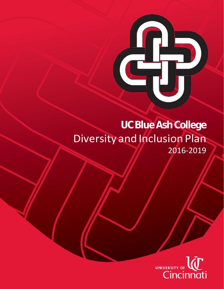# **UCBlueAshCollege** Diversity and Inclusion Plan 2016-2019

C

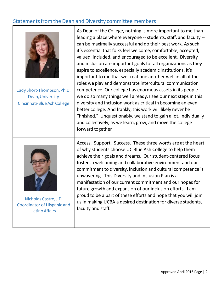# Statements from the Dean and Diversity committee members



Cady Short-Thompson, Ph.D. Dean, University Cincinnati-BlueAshCollege

As Dean of the College, nothing is more important to me than leading a place where everyone -- students, staff, and faculty - can be maximally successful and do their best work. As such, it's essential that folks feel welcome, comfortable, accepted, valued, included, and encouraged to be excellent. Diversity and inclusion are important goals for all organizations as they aspire to excellence, especially academic institutions. It's important to me that we treat one another well in all of the roles we play and demonstrate intercultural communication competence. Our college has enormous assets in its people - we do so many things well already. I see our next steps in this diversity and inclusion work as critical in becoming an even better college. And frankly, this work will likely never be "finished." Unquestionably, we stand to gain a lot, individually and collectively, as we learn, grow, and move the college forward together.



Nicholas Castro, J.D. Coordinator of Hispanic and Latino Affairs

Access. Support. Success. These three words are at the heart of why students choose UC Blue Ash College to help them achieve their goals and dreams. Our student-centered focus fosters a welcoming and collaborative environment and our commitment to diversity, inclusion and cultural competence is unwavering. This Diversity and Inclusion Plan is a manifestation of our current commitment and our hopes for future growth and expansion of our inclusion efforts. I am proud to be a part of these efforts and hope that you will join us in making UCBA a desired destination for diverse students, faculty and staff.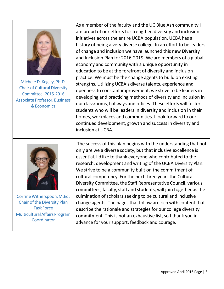

Michele D. Kegley, Ph.D. Chair of Cultural Diversity Committee 2015-2016 **Associate Professor, Business** &Economics

As a member of the faculty and the UC Blue Ash community I am proud of our efforts to strengthen diversity and inclusion initiatives acrossthe entire UCBA population. UCBA has a history of being a very diverse college. In an effort to be leaders of change and inclusion we have launched this new Diversity and Inclusion Plan for 2016-2019. We are members of a global economy and community with a unique opportunity in education to be at the forefront of diversity and inclusion practice. We must be the change agents to build on existing strengths. Utilizing UCBA's diverse talents, experience and openness to constant improvement, we strive to be leaders in developing and practicing methods of diversity and inclusion in our classrooms, hallways and offices. These efforts will foster students who will be leaders in diversity and inclusion in their homes, workplaces and communities. I look forward to our continued development, growth and success in diversity and inclusion at UCBA.



Corrine Witherspoon, M.Ed. Chair of the Diversity Plan Task Force Multicultural Affairs Program Coordinator

The success of this plan begins with the understanding that not only are we a diverse society, but that inclusive excellence is essential. I'd like to thank everyone who contributed to the research, development and writing of the UCBA Diversity Plan. We strive to be a community built on the commitment of cultural competency. For the next three years the Cultural Diversity Committee, the Staff Representative Council, various committees, faculty, staff and students, will join together as the culmination of scholars seeking to be cultural and inclusive change agents. The pages that follow are rich with content that describe the rationale and strategies for our college diversity commitment. This is not an exhaustive list, so I thank you in advance for your support, feedback and courage.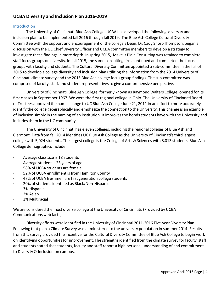# **UCBA** Diversity and Inclusion Plan 2016-2019

#### Introduction

The University of Cincinnati-Blue Ash College, UCBA has developed the following diversity and inclusion plan to be implemented fall 2016 through fall 2019. The Blue Ash College Cultural Diversity Committee with the support and encouragement of the college's Dean, Dr.Cady Short-Thompson, began a discussion with the UC Chief Diversity Officer and UCBA committee membersto develop a strategy to investigate these findings in more depth. In spring 2015, Make It Plain Consulting was retained to complete staff focus groups on diversity. In fall 2015, the same consulting firm continued and completed the focus groups with faculty and students. The Cultural Diversity Committee appointed a sub-committee in the fall of 2015 to develop a college diversity and inclusion plan utilizing the information from the 2014 University of Cincinnati climate survey and the 2015 Blue Ash college focus group findings. The sub-committee was comprised of faculty, staff, and student representatives to give a comprehensive perspective.

University of Cincinnati, Blue Ash College, formerly known as Raymond Walters College, opened forits first classes in September 1967. We were the first regional college in Ohio. The University of Cincinnati Board of Trustees approved the name change to UC Blue Ash College June 21, 2011 in an effort to more accurately identify the college geographically and emphasize the connection to the University. This change is an example of inclusion simply in the naming of an institution. It improvesthe bonds students have with the University and includes them in the UC community.

The University of Cincinnati has eleven colleges, including the regional colleges of Blue Ash and Clermont. Data from fall 2014 identifies UC Blue Ash College as the University of Cincinnati'sthird largest college with 5,024 students. The largest college is the College of Arts & Sciences with 8,013 students. Blue Ash College demographics include:

- · Average class size is 18 students
- · Average student is 23 years of age
- 58% of UCBA students are female
- 52% of UCBA enrollment is from Hamilton County
- 47% of UCBA freshmen are first generation college students
- · 20% of students identified as Black/Non-Hispanic
- 3% Hispanic
- 3% Asian
- · 3% Multiracial

We are considered the most diverse college at the University of Cincinnati. (Provided by UCBA Communications web facts)

Diversity efforts were identified in the University of Cincinnati 2011-2016 Five-year Diversity Plan. Following that plan a Climate Survey was administered to the university population in summer 2014. Results from this survey provided the incentive for the Cultural Diversity Committee of Blue Ash College to begin work on identifying opportunities for improvement. The strengths identified from the climate survey for faculty, staff and students stated that students, faculty and staff report a high personal understanding of and commitment to Diversity & Inclusion on campus.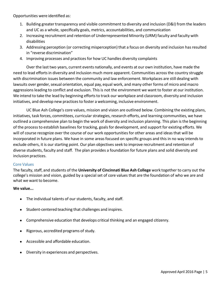Opportunities were identified as:

- 1. Building greater transparency and visible commitment to diversity and inclusion (D&I) from the leaders and UC as a whole, specifically goals, metrics, accountabilities, and communication
- 2. Increasing recruitment and retention of Underrepresented Minority (URM) faculty and faculty with disabilities
- 3. Addressing perception (or correcting misperception) that a focus on diversity and inclusion hasresulted in "reverse discrimination"
- 4. Improving processes and practices for how UC handles diversity complaints

Over the last two years, current events nationally, and events at our own institution, have made the need to lead efforts in diversity and inclusion much more apparent. Communities across the country struggle with discrimination issues between the community and law enforcement.Workplaces are still dealing with lawsuits over gender, sexual orientation, equal pay, equal work, and many other forms of micro and macro aggressions leading to conflict and exclusion. This is not the environment we want to foster at our institution. We intend to take the lead by beginning efforts to track our workplace and classroom, diversity and inclusion initiatives, and develop new practices to foster a welcoming, inclusive environment.

UC Blue Ash College's core values, mission and vision are outlined below. Combining the existing plans, initiatives, task forces, committees, curricular strategies, research efforts, and learning communities, we have outlined a comprehensive plan to begin the work of diversity and inclusion planning. This plan isthe beginning of the process to establish baselines for tracking, goals for development, and support for existing efforts. We will of course recognize over the course of our work opportunities for other areas and ideas that will be incorporated in future plans. We have in some areas focused on specific groups and this in no way intends to exclude others, it is our starting point. Our plan objectives seek to improve recruitment and retention of diverse students, faculty and staff. The plan provides a foundation for future plans and solid diversity and inclusion practices.

#### Core Values

The faculty,staff, and students of the **University of Cincinnati Blue Ash College** work together to carry out the college's mission and vision, guided by a special set of core values that are the foundation of who we are and what we want to become.

#### **We value...**

- The individual talents of our students, faculty, and staff.
- Student-centered teaching that challenges and inspires.
- Comprehensive education that develops critical thinking and an engaged citizenry.
- Rigorous, accredited programs of study.
- Accessible and affordable education.
- Diversity in experiences and perspectives.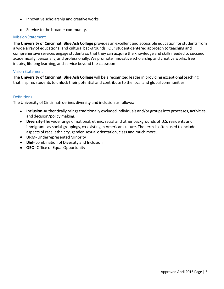- Innovative scholarship and creative works.
- Service to the broader community.

#### Mission Statement

**The University of Cincinnati Blue Ash College** provides an excellent and accessible education forstudentsfrom a wide array of educational and cultural backgrounds. Our student-centered approach to teaching and comprehensive services engage students so that they can acquire the knowledge and skills needed to succeed academically, personally, and professionally. We promote innovative scholarship and creative works, free inquiry, lifelong learning, and service beyond the classroom.

#### Vision Statement

**The University of Cincinnati Blue Ash College** will be a recognized leader in providing exceptionalteaching that inspires students to unlock their potential and contribute to the local and global communities.

#### **Definitions**

The University of Cincinnati defines diversity and inclusion as follows:

- **Inclusion**-Authentically brings traditionally excluded individuals and/or groups into processes, activities, and decision/policy making.
- **Diversity**-The wide range of national, ethnic, racial and other backgrounds of U.S. residents and immigrants as social groupings, co-existing in American culture. The term is often used to include aspects of race, ethnicity, gender, sexual orientation, class and much more.
- **URM-Underrepresented Minority**
- **D&I** combination of Diversity and Inclusion
- **OEO** Office of Equal Opportunity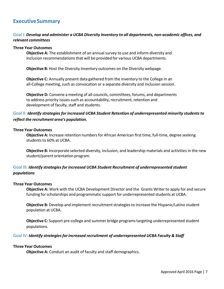# **Executive Summary**

#### Goal I: *Develop and administer a UCBA Diversity Inventory to all departments, nonacademic offices, and relevant committees*

#### **Three Year Outcomes**

**Objective A:** The establishment of an annual survey to use and inform diversity and inclusion recommendations that will be provided for various UCBA departments.

**Objective B:** Host the Diversity Inventory outcomes on the Diversity webpage.

**Objective C:** Annually present data gathered from the inventory to the College in an all-College meeting, such as convocation or a separate diversity and inclusion session.

**Objective D:** Convene a meeting of all-councils, committees, forums, and departments to address priority issues such as accountability, recruitment, retention and development of faculty, staff and students.

## Goal II: *Identify strategiesfor increased UCBA Student Retention of underrepresented minority studentsto reflect the recruitment area's population.*

#### **Three Year Outcomes**

**Objective A:** Increase retention numbers for African American first time, full-time, degree seeking students to 60% at UCBA.

**Objective B:** Incorporate selected diversity, inclusion, and leadership materials and activitiesin the new student/parent orientation program.

## Goal III: *Identify strategiesfor increased UCBA Student Recruitment of underrepresented student populations*

#### **Three Year Outcomes**

**Objective A:** Work with the UCBA Development Director and the Grants Writer to apply for and secure funding for scholarships and programmatic support for underrepresented students at UCBA.

**Objective B:** Develop and implement recruitment strategies to increase the Hispanic/Latino student population at UCBA.

**Objective C:** Support pre-college and summer bridge programs targeting underrepresented student populations.

#### Goal IV: *Identify strategiesfor increased recruitment of underrepresented UCBA Faculty & Staff*

#### **Three Year Outcomes**

**Objective A:** Conduct an audit of faculty and staff demographics.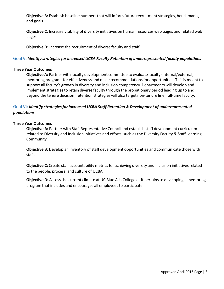**Objective B:** Establish baseline numbers that will inform future recruitment strategies, benchmarks, and goals.

**Objective C:** Increase visibility of diversity initiatives on human resources web pages and related web pages.

**Objective D:** Increase the recruitment of diverse faculty and staff

#### Goal V: *Identify strategiesfor increased UCBA Faculty Retention of underrepresented faculty populations*

#### **Three Year Outcomes**

**Objective A:** Partner with faculty development committee to evaluate faculty (internal/external) mentoring programs for effectiveness and make recommendations for opportunities. This is meant to support all faculty's growth in diversity and inclusion competency. Departments will develop and implement strategies to retain diverse faculty through the probationary period leading up to and beyond the tenure decision; retention strategies will also target non-tenure line, full-time faculty.

## Goal VI: *Identify strategiesfor increased UCBA Staff Retention & Development of underrepresented populations*

#### **Three Year Outcomes**

**Objective A:** Partner with Staff Representative Council and establish staff development curriculum related to Diversity and Inclusion initiatives and efforts, such as the Diversity Faculty & Staff Learning Community.

**Objective B:** Develop an inventory of staff development opportunities and communicate those with staff.

**Objective C:** Create staff accountability metrics for achieving diversity and inclusion initiatives related to the people, process, and culture of UCBA.

**Objective D:** Assess the current climate at UC Blue Ash College as it pertains to developing a mentoring program that includes and encourages all employeesto participate.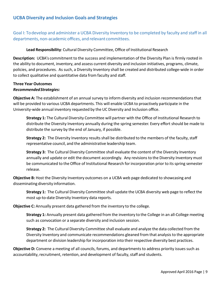Goal I: Todevelop and administer a UCBA Diversity Inventory to be completed by faculty and staff in all departments, non-academic offices, and relevant committees.

**Lead Responsibility**: Cultural Diversity Committee,Office of Institutional Research

**Description:** UCBA's commitment to the success and implementation of the Diversity Plan is firmly rooted in the ability to document, inventory, and assess current diversity and inclusion initiatives, programs, climate, policies, and procedures. As such, a Diversity Inventory shall be created and distributed college-wide in order to collect qualitative and quantitative data from faculty and staff.

## **Three Year Outcomes** *RecommendedStrategies:*

**Objective A:** The establishment of an annual survey to inform diversity and inclusion recommendationsthat will be provided to various UCBA departments. This will enable UCBA to proactively participate in the University-wide annual inventory requested by the UC Diversity and Inclusion office.

**Strategy 1:** The Cultural Diversity Committee will partner with the Office of Institutional Research to distribute the Diversity Inventory annually during the spring semester. Every effort should be made to distribute the survey by the end of January, if possible.

**Strategy 2:** The Diversity Inventory results shall be distributed to the members of the faculty, staff representative council, and the administrative leadership team.

**Strategy 3:** The Cultural Diversity Committee shall evaluate the content of the Diversity Inventory annually and update or edit the document accordingly. Any revisionsto the Diversity Inventory must be communicated to the Office of Institutional Research for incorporation prior to its spring semester release.

**Objective B:** Host the Diversity Inventory outcomes on a UCBA web page dedicated to showcasing and disseminating diversity information.

**Strategy 1:** The Cultural Diversity Committee shall update the UCBA diversity web page to reflect the most up-to-date Diversity Inventory data reports.

**Objective C:** Annually present data gathered from the inventory to the college.

**Strategy 1:** Annually present data gathered from the inventory to the College in an all-College meeting such as convocation or a separate diversity and inclusion session.

**Strategy 2:** The Cultural Diversity Committee shall evaluate and analyze the data collected from the Diversity Inventory and communicate recommendations gleaned from that analysisto the appropriate department or division leadership for incorporation into their respective diversity best practices.

**Objective D:** Convene a meeting of all councils, forums, and departments to address priority issues such as accountability, recruitment, retention, and development of faculty, staff and students.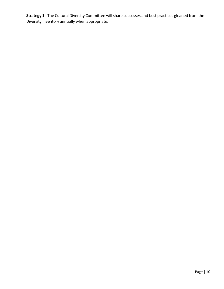**Strategy 1:** The Cultural Diversity Committee will share successes and best practices gleaned from the Diversity Inventory annually when appropriate.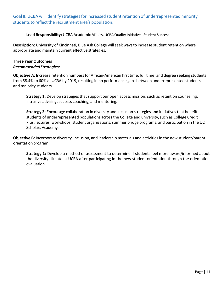Goal II: UCBA will identify strategies for increased student retention of underrepresented minority students to reflect the recruitment area's population.

**Lead Responsibility:** UCBA Academic Affairs, UCBAQuality Initiative - Student Success

**Description:** University of Cincinnati, Blue Ash College will seek ways to increase student retention where appropriate and maintain current effective strategies.

## **Three Year Outcomes** *RecommendedStrategies:*

**Objective A:** Increase retention numbers for African-American first time, full time, and degree seeking students from 58.4% to 60% at UCBA by 2019, resulting in no performance gaps between underrepresented students and majority students.

**Strategy 1:** Develop strategies that support our open access mission, such as retention counseling, intrusive advising, success coaching, and mentoring.

**Strategy 2:** Encourage collaboration in diversity and inclusion strategies and initiatives that benefit students of underrepresented populations across the College and university, such as College Credit Plus, lectures, workshops, student organizations, summer bridge programs, and participation in the UC Scholars Academy.

**Objective B:** Incorporate diversity, inclusion, and leadership materials and activitiesin the new student/parent orientation program.

**Strategy 1:** Develop a method of assessment to determine if students feel more aware/informed about the diversity climate at UCBA after participating in the new student orientation through the orientation evaluation.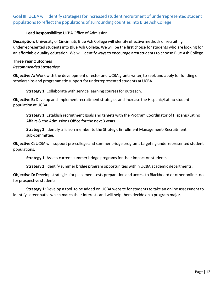Goal III: UCBA will identify strategies for increased student recruitment of underrepresented student populations to reflect the populations of surrounding counties into Blue Ash College.

## **Lead Responsibility:** UCBA Office of Admission

**Description:** University of Cincinnati, Blue Ash College will identify effective methods of recruiting underrepresented students into Blue Ash College. We will be the first choice for students who are looking for an affordable quality education. We will identify waysto encourage area studentsto choose Blue Ash College.

## **Three Year Outcomes** *RecommendedStrategies:*

**Objective A:** Work with the development director and UCBA grants writer, to seek and apply for funding of scholarships and programmatic support for underrepresented students at UCBA.

**Strategy 1:** Collaborate with service learning courses for outreach.

**Objective B:** Develop and implement recruitment strategies and increase the Hispanic/Latino student population at UCBA.

**Strategy 1:** Establish recruitment goals and targets with the Program Coordinator of Hispanic/Latino Affairs & the Admissions Office for the next 3 years.

**Strategy 2:** Identify a liaison member to the Strategic Enrollment Management- Recruitment sub-committee.

**Objective C:** UCBA will support pre-college and summer bridge programs targeting underrepresented student populations.

**Strategy 1:** Assess current summer bridge programs for their impact on students.

**Strategy 2:** Identify summer bridge program opportunities within UCBA academic departments.

**Objective D:** Develop strategies for placement tests preparation and access to Blackboard or other online tools for prospective students.

**Strategy 1:** Develop a tool to be added on UCBA website for students to take an online assessment to identify career paths which match their interests and will help them decide on a program major.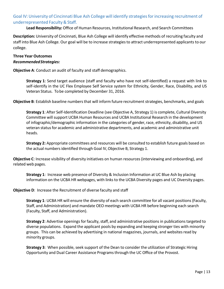# Goal IV: University of Cincinnati Blue Ash College will identify strategies for increasing recruitment of underrepresented Faculty & Staff.

**Lead Responsibility:** Office of Human Resources, Institutional Research, and Search Committees

**Description:** University of Cincinnati, Blue Ash College will identify effective methods of recruiting faculty and staff into Blue Ash College. Our goal will be to increase strategies to attract underrepresented applicants to our college.

# **Three Year Outcomes**

#### *RecommendedStrategies:*

**Objective A**: Conduct an audit of faculty and staff demographics.

**Strategy 1**: Send target audience (staff and faculty who have not self-identified) a request with link to self-identify in the UC Flex Employee Self Service system for Ethnicity, Gender, Race, Disability, and US Veteran Status. Tobe completed by December 31, 2016.

**Objective B**: Establish baseline numbers that will inform future recruitment strategies, benchmarks, and goals

**Strategy 1**: After Self-Identification Deadline (see Objective A, Strategy 1) is complete, Cultural Diversity Committee will support UCBA Human Resources and UCBA Institutional Research in the development of infographic/demographic information in the categories of gender,race, ethnicity, disability, and US veteran status for academic and administrative departments, and academic and administrative unit heads.

**Strategy 2:** Appropriate committees and resources will be consulted to establish future goals based on the actual numbers identified through Goal IV, Objective B, Strategy 1.

**Objective C**: Increase visibility of diversity initiatives on human resources (interviewing and onboarding), and related web pages.

**Strategy 1**: Increase web presence of Diversity & Inclusion Information at UC Blue Ash by placing information on the UCBA HR webpages, with links to the UCBA Diversity pages and UC Diversity pages.

#### **Objective D**: Increase the Recruitment of diverse faculty and staff

**Strategy 1**: UCBA HR will ensure the diversity of each search committee for all vacant positions (Faculty, Staff, and Administration) and mandate OEO meetings with UCBA HR before beginning each search (Faculty, Staff, and Administration).

**Strategy 2**: Advertise openings for faculty, staff, and administrative positions in publications targeted to diverse populations. Expand the applicant pools by expanding and keeping stronger ties with minority groups. This can be achieved by advertising in national magazines, journals, and websitesread by minority groups.

**Strategy 3**: When possible, seek support of the Dean to consider the utilization of Strategic Hiring Opportunity and Dual Career Assistance Programsthrough the UC Office of the Provost.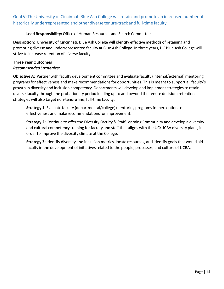Goal V: The University of Cincinnati Blue Ash College will retain and promote an increased number of historically underrepresented and other diverse tenure-track and full-time faculty.

#### **Lead Responsibility:** Office of Human Resources and Search Committees

**Description:** University of Cincinnati, Blue Ash College will identify effective methods of retaining and promoting diverse and underrepresented faculty at Blue Ash College. In three years, UC Blue Ash College will strive to increase retention of diverse faculty.

#### **Three Year Outcomes** *RecommendedStrategies:*

**Objective A:** Partner with faculty development committee and evaluate faculty (internal/external) mentoring programs for effectiveness and make recommendations for opportunities. This is meant to support all faculty's growth in diversity and inclusion competency. Departments will develop and implement strategies to retain diverse faculty through the probationary period leading up to and beyond the tenure decision; retention strategies will also target non-tenure line, full-time faculty.

**Strategy 1**: Evaluate faculty (departmental/college) mentoring programsfor perceptions of effectiveness and make recommendations for improvement.

**Strategy 2:** Continue to offer the Diversity Faculty & Staff Learning Community and develop a diversity and cultural competency training for faculty and staff that aligns with the UC/UCBA diversity plans, in order to improve the diversity climate at the College.

**Strategy 3:** Identify diversity and inclusion metrics, locate resources, and identify goalsthat would aid faculty in the development of initiatives related to the people, processes, and culture of UCBA.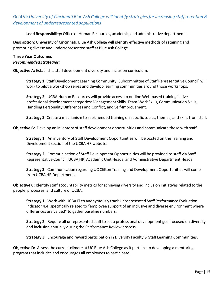# Goal VI: *University of Cincinnati Blue Ash College will identify strategiesfor increasing staff retention & development of underrepresented populations*

**Lead Responsibility:** Office of Human Resources, academic, and administrative departments.

**Description:** University of Cincinnati, Blue Ash College will identify effective methods of retaining and promoting diverse and underrepresented staff at Blue Ash College.

## **Three Year Outcomes** *RecommendedStrategies:*

**Objective A:** Establish a staff development diversity and inclusion curriculum.

**Strategy 1**: Staff Development Learning Community [Subcommittee of Staff Representative Council] will work to pilot a workshop series and develop learning communities around those workshops.

**Strategy 2**: UCBA Human Resources will provide accessto on-line Web-based training in five professional development categories: Management Skills, Team-Work Skills, Communication Skills, Handling Personality Differences and Conflict, and Self-Improvement.

**Strategy 3**: Create a mechanism to seek needed training on specific topics, themes, and skills from staff.

**Objective B:** Develop an inventory of staff development opportunities and communicate those with staff.

**Strategy 1**: An inventory of Staff Development Opportunities will be posted on the Training and Development section of the UCBA HR website.

**Strategy 2**: Communication of Staff Development Opportunities will be provided to staff via Staff Representative Council, UCBA HR, Academic Unit Heads, and Administrative Department Heads

**Strategy 3**: Communication regarding UC Clifton Training and Development Opportunities will come from UCBA HR Department.

**Objective C:** Identify staff accountability metrics for achieving diversity and inclusion initiatives related to the people, processes, and culture of UCBA.

**Strategy 1**: Work with UCBA IT to anonymously track Unrepresented Staff Performance Evaluation Indicator 4.4, specifically related to "employee support of an inclusive and diverse environment where differences are valued" to gather baseline numbers.

**Strategy 2**: Require all unrepresented staff to set a professional development goal focused on diversity and inclusion annually during the Performance Review process.

**Strategy 3**: Encourage and reward participation in Diversity Faculty & Staff Learning Communities.

**Objective D:** Assess the current climate at UC Blue Ash College as it pertains to developing a mentoring program that includes and encourages all employees to participate.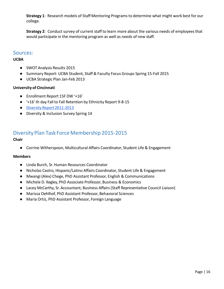**Strategy 1**: Research models of Staff Mentoring Programsto determine what might work best for our college.

**Strategy 2**: Conduct survey of current staff to learn more about the various needs of employeesthat would participate in the mentoring program as well as needs of new staff.

# Sources:

## **UCBA**

- SWOT Analysis Results 2015
- Summary Report: UCBA Student, Staff & Faculty Focus Groups Spring 15-Fall 2015
- UCBA Strategic Plan Jan-Feb 2013

#### **University of Cincinnati**

- Enrollment Report 15F DW '+16'
- '+16' th day Fall to Fall Retention by Ethnicity Report 9-8-15
- Diversity Report [2011-2013](http://www.uc.edu/content/dam/uc/diversity/docs/5787-Diversity-Report-2011-2016.pdf)
- Diversity & Inclusion Survey Spring 14

# Diversity Plan Task Force Membership 2015-2015

#### **Chair**

● Corrine Witherspoon, Multicultural Affairs Coordinator, Student Life & Engagement

## **Members**

- Linda Burch, Sr.Human Resources Coordinator
- Nicholas Castro, Hispanic/Latino Affairs Coordinator, Student Life & Engagement
- Mwangi (Alex) Chege, PhD Assistant Professor, English & Communications
- Michele D. Kegley, PhD Associate Professor, Business & Economics
- Lacey McCarthy, Sr.Accountant, Business Affairs(Staff Representative Council Liaison)
- Marissa Oehlhof, PhD Assistant Professor, Behavioral Sciences
- Maria Ortiz, PhD Assistant Professor, Foreign Language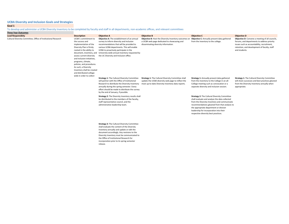**Goal 1**

#### To develop and administer a UCBA Diversity Inventory to be completed by faculty and staff in all departments, non-academic offices, and relevant committees

release.

| <b>Three Year Outcomes</b>                                     |                                                                                                                                                                                                                                                                                                                                                                                                                               |                                                                                                                                                                                                                                                                                                                                        |                                                                                                                                                                     |                                                                                                                                                                                                                                                                                                                                    |                                                                                                                                                                                                                |
|----------------------------------------------------------------|-------------------------------------------------------------------------------------------------------------------------------------------------------------------------------------------------------------------------------------------------------------------------------------------------------------------------------------------------------------------------------------------------------------------------------|----------------------------------------------------------------------------------------------------------------------------------------------------------------------------------------------------------------------------------------------------------------------------------------------------------------------------------------|---------------------------------------------------------------------------------------------------------------------------------------------------------------------|------------------------------------------------------------------------------------------------------------------------------------------------------------------------------------------------------------------------------------------------------------------------------------------------------------------------------------|----------------------------------------------------------------------------------------------------------------------------------------------------------------------------------------------------------------|
| <b>Lead Responsibity</b>                                       | <b>Description</b>                                                                                                                                                                                                                                                                                                                                                                                                            | <b>Objective A</b>                                                                                                                                                                                                                                                                                                                     | <b>Objective B</b>                                                                                                                                                  | <b>Objective C</b>                                                                                                                                                                                                                                                                                                                 | <b>Objective D</b>                                                                                                                                                                                             |
| Cultural Diversity Committee, Office of Institutional Research | UCBA's commitment to<br>the success and<br>implementation of the<br>Diversity Plan is firmly<br>rooted in the ability to<br>document, inventory, and University-wide annual inventory requested by<br>assess current diversity<br>and inclusion initiatives.<br>programs, climate,<br>policies, and procedures.<br>As such, a Diversity<br>Inventory shall be created<br>and distributed college-<br>wide in order to collect | Objective A: The establishment of an annual<br>survey to inform diversity and inclusion<br>recommendations that will be provided to<br>various UCBA departments. This will enable<br>UCBA to proactively participate in the<br>the UC Diversity and Inclusion office.                                                                  | Objective B: Host the Diversity Inventory outcomes or<br>a UCBA web page dedicated to showcasing and<br>disseminating diversity information.                        | Objective C: Annually present data gathered<br>from the inventory to the college.                                                                                                                                                                                                                                                  | Objective D: Convene a meeting of all councils,<br>forums, and departments to address priority<br>issues such as accountability, recruitment,<br>retention, and development of faculty, staff<br>and students. |
|                                                                |                                                                                                                                                                                                                                                                                                                                                                                                                               | <b>Strategy 1: The Cultural Diversity Committee</b><br>will partner with the Office of Institutional<br>Research to distribute the Diversity Inventory<br>annually during the spring semester. Every<br>effort should be made to distribute the survey<br>by the end of January, if possible.                                          | <b>Strategy 1:</b> The Cultural Diversity Committee shall<br>update the UCBA diversity web page to reflect the<br>most up-to-date Diversity Inventory data reports. | Strategy 1: Annually present data gathered<br>from the inventory to the College in an all-<br>College meeting such as convocation or a<br>separate diversity and inclusion session.                                                                                                                                                | <b>Strategy 1: The Cultural Diversity Committee</b><br>will share successes and best practices gleaned<br>from the Diversity Inventory annually when<br>appropriate.                                           |
|                                                                |                                                                                                                                                                                                                                                                                                                                                                                                                               | Strategy 2: The Diversity Inventory results shall<br>be distributed to the members of the faculty,<br>staff representative council, and the<br>administrative leadership team.                                                                                                                                                         |                                                                                                                                                                     | <b>Strategy 2: The Cultural Diversity Committee</b><br>shall evaluate and analyze the data collected<br>from the Diversity Inventory and communicate<br>recommendations gleaned from that analysis to<br>the appropriate department or division<br>leadership for incorporation into their<br>respective diversity best practices. |                                                                                                                                                                                                                |
|                                                                |                                                                                                                                                                                                                                                                                                                                                                                                                               | <b>Strategy 3: The Cultural Diversity Committee</b><br>shall evaluate the content of the Diversity<br>Inventory annually and update or edit the<br>document accordingly. Any revisions to the<br>Diversity Inventory must be communicated to<br>the Office of Institutional Research for<br>incorporation prior to its spring semester |                                                                                                                                                                     |                                                                                                                                                                                                                                                                                                                                    |                                                                                                                                                                                                                |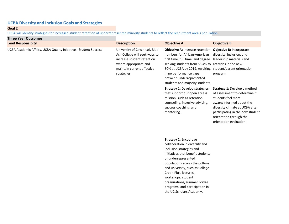**Goal 2**

UCBA will identify strategies for increased student retention of underrepresented minority students to reflect the recruitment area's population.

| <b>Three Year Outcomes</b>                                       |                                                                                                                                                                    |                                                                                                                                                                                                                                                                                                                                                                    |                                                                                                                                                                                                                                              |
|------------------------------------------------------------------|--------------------------------------------------------------------------------------------------------------------------------------------------------------------|--------------------------------------------------------------------------------------------------------------------------------------------------------------------------------------------------------------------------------------------------------------------------------------------------------------------------------------------------------------------|----------------------------------------------------------------------------------------------------------------------------------------------------------------------------------------------------------------------------------------------|
| <b>Lead Responsibity</b>                                         | <b>Description</b>                                                                                                                                                 | <b>Objective A</b>                                                                                                                                                                                                                                                                                                                                                 | <b>Objective B</b>                                                                                                                                                                                                                           |
| UCBA Academic Affairs, UCBA Quality Initiative - Student Success | University of Cincinnati, Blue<br>Ash College will seek ways to<br>increase student retention<br>where appropriate and<br>maintain current effective<br>strategies | Objective A: Increase retention<br>numbers for African-American<br>first time, full time, and degree<br>seeking students from 58.4% to activities in the new<br>60% at UCBA by 2019, resulting student/parent orientation<br>in no performance gaps<br>between underrepresented<br>students and majority students.                                                 | Objective B: Incorporate<br>diversity, inclusion, and<br>leadership materials and<br>program.                                                                                                                                                |
|                                                                  |                                                                                                                                                                    | <b>Strategy 1: Develop strategies</b><br>that support our open access<br>mission, such as retention<br>counseling, intrusive advising,<br>success coaching, and<br>mentoring.                                                                                                                                                                                      | Strategy 1: Develop a method<br>of assessment to determine if<br>students feel more<br>aware/informed about the<br>diversity climate at UCBA after<br>participating in the new student<br>orientation through the<br>orientation evaluation. |
|                                                                  |                                                                                                                                                                    | Strategy 2: Encourage<br>collaboration in diversity and<br>inclusion strategies and<br>initiatives that benefit students<br>of underrepresented<br>populations across the College<br>and university, such as College<br>Credit Plus, lectures,<br>workshops, student<br>organizations, summer bridge<br>programs, and participation in<br>the UC Scholars Academy. |                                                                                                                                                                                                                                              |
|                                                                  |                                                                                                                                                                    |                                                                                                                                                                                                                                                                                                                                                                    |                                                                                                                                                                                                                                              |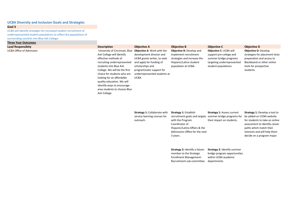**Goal 3**

UCBA will identify strategies for increased student recruitment of underrepresented student populations to reflect the populations of surrounding counties into Blue Ash College.

#### **Three Year Outcomes**

| <b>UCBA Office of Admission</b><br>University of Cincinnati, Blue<br><b>Objective A: Work with the</b><br><b>Objective B: Develop and</b><br><b>Objective C: UCBA will</b><br>Ash College will identify<br>development director and<br>support pre-college and<br>implement recruitment<br>effective methods of<br>strategies and increase the<br>summer bridge programs<br>UCBA grants writer, to seek                                                                                     | <b>Objective D: Develop</b><br>strategies for placement tests<br>preparation and access to |
|---------------------------------------------------------------------------------------------------------------------------------------------------------------------------------------------------------------------------------------------------------------------------------------------------------------------------------------------------------------------------------------------------------------------------------------------------------------------------------------------|--------------------------------------------------------------------------------------------|
| recruiting underrepresented<br>and apply for funding of<br>Hispanic/Latino student<br>targeting underrepresented<br>students into Blue Ash<br>scholarships and<br>student populations.<br>population at UCBA.<br>College. We will be the first<br>programmatic support for<br>choice for students who are<br>underrepresented students at<br>looking for an affordable<br>UCBA.<br>quality education. We will<br>identify ways to encourage<br>area students to choose Blue<br>Ash College. | Blackboard or other online<br>tools for prospective<br>students.                           |

**Strategy 1:** Collaborate with **Strategy 1:** Establish service learning courses for outreach.

recruitment goals and targets summer bridge programs for be added on UCBA website with the Program Coordinator of Hispanic/Latino Affairs & the Admissions Office for the next 3 years. **Strategy 1:** Assess current their impact on students.

**Strategy 1:** Develop a tool to for students to take an online assessment to identify career paths which match their interests and will help them decide on a program major.

**Strategy 2:** Identify a liaison member to the Strategic Enrollment Management-Recruitment sub-committee.

**Strategy 2:** Identify summer bridge program opportunities within UCBA academic departments.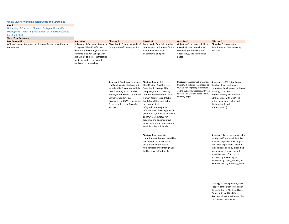University of Cincinnati Blue Ash College will identify

strategies for increasing recruitment of underrepresented

#### Faculty & Staff. **Three Year Outcomes**

**Lead Responsibity Description Objective A Objective B Objective C Objective D** Office of Human Resources, Institutional Research, and Search Committees

University of Cincinnati, Blue Ash **Objective A**: Conduct an audit of College will identify effective methods of recruiting faculty and staff into Blue Ash College. Our goal will be to increase strategies to attract underrepresented applicants to our college. faculty and staff demographics.

**Objective B**: Establish baseline numbers that will inform future recruitment strategies, benchmarks, and goals

gender, race, ethnicity, disability, and US veteran status for academic and administrative departments, and academic and administrative unit heads.

#### **Objective C**: Increase visibility of diversity initiatives on human resources (interviewing and onboarding), and related web pages.

**Objective D**: Increase the Recruitment of diverse faculty and staff

**Strategy 1**: Send target audience **Strategy 1**: After Self-(staff and faculty who have not self-identified) a request with link Objective A, Strategy 1) is to self-identify in the UC Flex Employee Self Service system for Committee will support UCBA Ethnicity, Gender, Race, Disability, and US Veteran Status. Institutional Research in the To be completed by December 31, 2016. Identification Deadline (see complete, Cultural Diversity Human Resources and UCBA development of infographic/demographic information in the categories of

**Strategy 1**: Increase web presence of **Strategy 1**: UCBA HR will ensure Diversity & Inclusion Information at UC Blue Ash by placing information on the UCBA HR webpages, with links (Faculty, Staff, and to the UCBA Diversity pages and UC Diversity pages

the diversity of each search committee for all vacant positions Administration) and mandate OEO meetings with UCBA HR before beginning each search (Faculty, Staff, and Administration).

**Strategy 2:** Appropriate committees and resources will be consulted to establish future goals based on the actual numbers identified through Goal IV, Objective B, Strategy 1.

**Strategy 2**: Advertise openings for faculty, staff, and administrative positions in publications targeted to diverse populations. Expand the applicant pools by expanding and keeping stronger ties with minority groups. This can be achieved by advertising in national magazines, journals, and websites read by minority groups.

**Strategy 3**: When possible, seek support of the Dean to consider the utilization of Strategic Hiring Opportunity and Dual Career Assistance Programs through the UC Office of the Provost.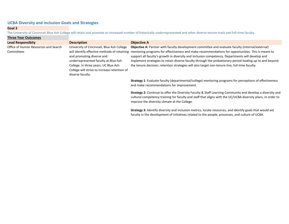#### **Goal 3**

The University of Cincinnati Blue Ash College will retain and promote an increased number of historically underrepresented and other diverse tenure-track and full-time faculty.

| <b>Three Year Outcomes</b>                         |                                                                                                                                                                                                                             |                                                                                                                                                                                                                                                                                                                                                                                                                                                                                                                                                                     |
|----------------------------------------------------|-----------------------------------------------------------------------------------------------------------------------------------------------------------------------------------------------------------------------------|---------------------------------------------------------------------------------------------------------------------------------------------------------------------------------------------------------------------------------------------------------------------------------------------------------------------------------------------------------------------------------------------------------------------------------------------------------------------------------------------------------------------------------------------------------------------|
| <b>Lead Responsibity</b>                           | <b>Description</b>                                                                                                                                                                                                          | <b>Objective A</b>                                                                                                                                                                                                                                                                                                                                                                                                                                                                                                                                                  |
| Office of Human Resources and Search<br>Committees | University of Cincinnati, Blue Ash College<br>and promoting diverse and<br>underrepresented faculty at Blue Ash<br>College. In three years, UC Blue Ash<br>College will strive to increase retention of<br>diverse faculty. | Objective A: Partner with faculty development committee and evaluate faculty (internal/external)<br>will identify effective methods of retaining mentoring programs for effectiveness and make recommendations for opportunities. This is meant to<br>support all faculty's growth in diversity and inclusion competency. Departments will develop and<br>implement strategies to retain diverse faculty through the probationary period leading up to and beyond<br>the tenure decision; retention strategies will also target non-tenure line, full-time faculty. |
|                                                    |                                                                                                                                                                                                                             | Strategy 1: Evaluate faculty (departmental/college) mentoring programs for perceptions of effectiveness<br>and make recommendations for improvement.                                                                                                                                                                                                                                                                                                                                                                                                                |
|                                                    |                                                                                                                                                                                                                             | Strategy 2: Continue to offer the Diversity Faculty & Staff Learning Community and develop a diversity and<br>cultural competency training for faculty and staff that aligns with the UC/UCBA diversity plans, in order to                                                                                                                                                                                                                                                                                                                                          |

improve the diversity climate at the College.

**Strategy 3:** Identify diversity and inclusion metrics, locate resources, and identify goals that would aid faculty in the development of initiatives related to the people, processes, and culture of UCBA.